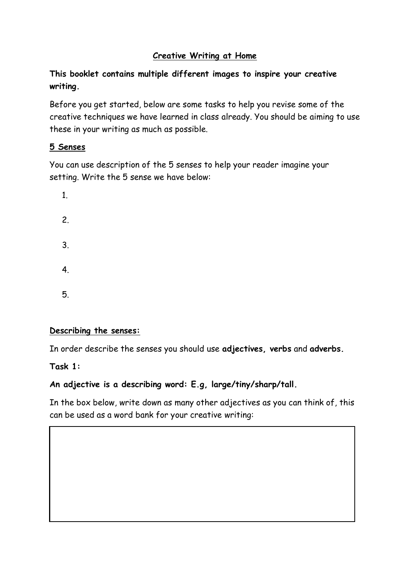# **Creative Writing at Home**

# **This booklet contains multiple different images to inspire your creative writing.**

Before you get started, below are some tasks to help you revise some of the creative techniques we have learned in class already. You should be aiming to use these in your writing as much as possible.

# **5 Senses**

You can use description of the 5 senses to help your reader imagine your setting. Write the 5 sense we have below:

1. 2. 3. 4. 5.

## **Describing the senses:**

In order describe the senses you should use **adjectives, verbs** and **adverbs.**

**Task 1:**

# **An adjective is a describing word: E.g, large/tiny/sharp/tall.**

In the box below, write down as many other adjectives as you can think of, this can be used as a word bank for your creative writing: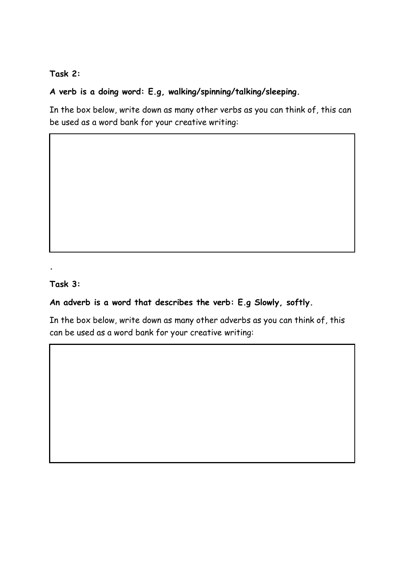### **Task 2:**

## **A verb is a doing word: E.g, walking/spinning/talking/sleeping.**

In the box below, write down as many other verbs as you can think of, this can be used as a word bank for your creative writing:

## **Task 3:**

**.**

## **An adverb is a word that describes the verb: E.g Slowly, softly.**

In the box below, write down as many other adverbs as you can think of, this can be used as a word bank for your creative writing: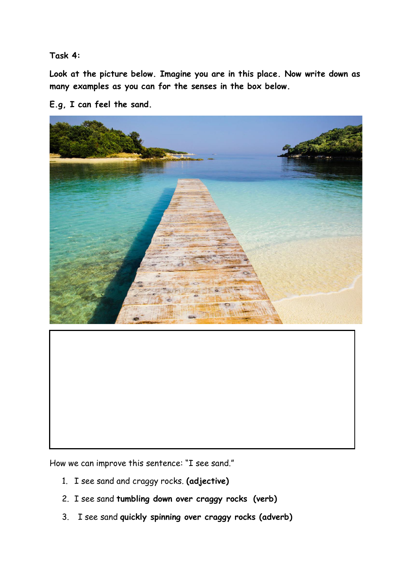**Task 4:**

**Look at the picture below. Imagine you are in this place. Now write down as many examples as you can for the senses in the box below.** 

**E.g, I can feel the sand.**



How we can improve this sentence: "I see sand."

- 1. I see sand and craggy rocks. **(adjective)**
- 2. I see sand **tumbling down over craggy rocks (verb)**
- 3. I see sand **quickly spinning over craggy rocks (adverb)**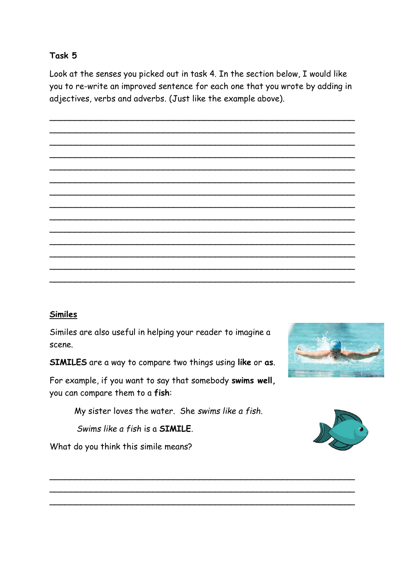## **Task 5**

Look at the senses you picked out in task 4. In the section below, I would like you to re-write an improved sentence for each one that you wrote by adding in adjectives, verbs and adverbs. (Just like the example above).



## **Similes**

Similes are also useful in helping your reader to imagine a scene.

**SIMILES** are a way to compare two things using **like** or **as**.

For example, if you want to say that somebody **swims well,** you can compare them to a **fish**:

My sister loves the water. She *swims like a fish*.

\_\_\_\_\_\_\_\_\_\_\_\_\_\_\_\_\_\_\_\_\_\_\_\_\_\_\_\_\_\_\_\_\_\_\_\_\_\_\_\_\_\_\_\_\_\_\_\_\_\_\_\_\_\_\_\_\_\_\_ \_\_\_\_\_\_\_\_\_\_\_\_\_\_\_\_\_\_\_\_\_\_\_\_\_\_\_\_\_\_\_\_\_\_\_\_\_\_\_\_\_\_\_\_\_\_\_\_\_\_\_\_\_\_\_\_\_\_\_ \_\_\_\_\_\_\_\_\_\_\_\_\_\_\_\_\_\_\_\_\_\_\_\_\_\_\_\_\_\_\_\_\_\_\_\_\_\_\_\_\_\_\_\_\_\_\_\_\_\_\_\_\_\_\_\_\_\_\_

*Swims like a fish* is a **SIMILE**.

What do you think this simile means?



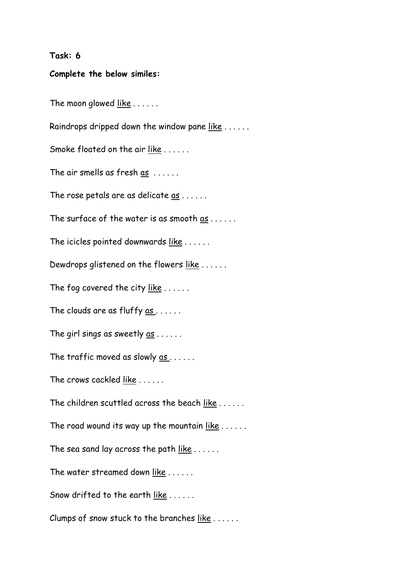### **Task: 6**

### **Complete the below similes:**

The moon glowed like . . . . . .

Raindrops dripped down the window pane like . . . . . .

Smoke floated on the air like . . . . . .

The air smells as fresh as . . . . . .

The rose petals are as delicate as ......

The surface of the water is as smooth as . . . . . .

The icicles pointed downwards like . . . . . .

Dewdrops glistened on the flowers like ......

The fog covered the city like  $\dots$ .

The clouds are as fluffy  $\underline{as}$ .....

The girl sings as sweetly  $\underline{as}$ ......

The traffic moved as slowly as ......

The crows cackled like . . . . . .

The children scuttled across the beach like . . . . . .

The road wound its way up the mountain like . . . . . .

The sea sand lay across the path like . . . . . .

The water streamed down  $like \dots$ .

Snow drifted to the earth like . . . . . .

Clumps of snow stuck to the branches like . . . . . .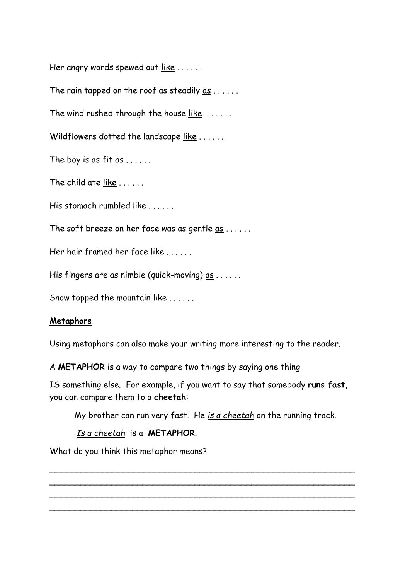Her angry words spewed out like ......

The rain tapped on the roof as steadily as . . . . . .

The wind rushed through the house  $like$  ......

Wildflowers dotted the landscape like ......

The boy is as fit  $\underline{as}$  . . . . . .

The child ate <u>like</u> . . . . . .

His stomach rumbled like . . . . . .

The soft breeze on her face was as gentle  $\underline{as}$ .....

Her hair framed her face like . . . . . .

His fingers are as nimble (quick-moving) as . . . . . .

Snow topped the mountain like . . . . . .

### **Metaphors**

Using metaphors can also make your writing more interesting to the reader.

A **METAPHOR** is a way to compare two things by saying one thing

IS something else. For example, if you want to say that somebody **runs fast,** you can compare them to a **cheetah**:

My brother can run very fast. He *is a cheetah* on the running track*.*

\_\_\_\_\_\_\_\_\_\_\_\_\_\_\_\_\_\_\_\_\_\_\_\_\_\_\_\_\_\_\_\_\_\_\_\_\_\_\_\_\_\_\_\_\_\_\_\_\_\_\_\_\_\_\_\_\_\_\_ \_\_\_\_\_\_\_\_\_\_\_\_\_\_\_\_\_\_\_\_\_\_\_\_\_\_\_\_\_\_\_\_\_\_\_\_\_\_\_\_\_\_\_\_\_\_\_\_\_\_\_\_\_\_\_\_\_\_\_ \_\_\_\_\_\_\_\_\_\_\_\_\_\_\_\_\_\_\_\_\_\_\_\_\_\_\_\_\_\_\_\_\_\_\_\_\_\_\_\_\_\_\_\_\_\_\_\_\_\_\_\_\_\_\_\_\_\_\_ \_\_\_\_\_\_\_\_\_\_\_\_\_\_\_\_\_\_\_\_\_\_\_\_\_\_\_\_\_\_\_\_\_\_\_\_\_\_\_\_\_\_\_\_\_\_\_\_\_\_\_\_\_\_\_\_\_\_\_

### *Is a cheetah* is a **METAPHOR**.

What do you think this metaphor means?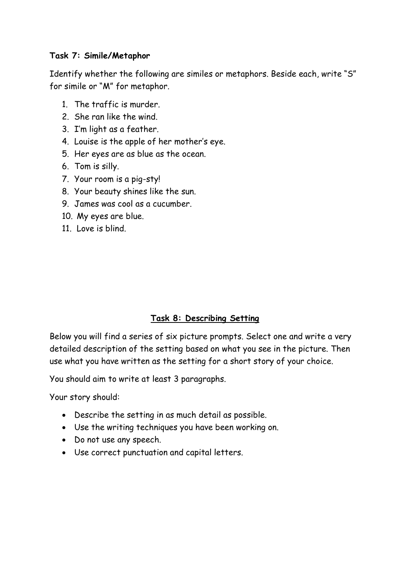## **Task 7: Simile/Metaphor**

Identify whether the following are similes or metaphors. Beside each, write "S" for simile or "M" for metaphor.

- 1. The traffic is murder.
- 2. She ran like the wind.
- 3. I'm light as a feather.
- 4. Louise is the apple of her mother's eye.
- 5. Her eyes are as blue as the ocean.
- 6. Tom is silly.
- 7. Your room is a pig-sty!
- 8. Your beauty shines like the sun.
- 9. James was cool as a cucumber.
- 10. My eyes are blue.
- 11. Love is blind.

# **Task 8: Describing Setting**

Below you will find a series of six picture prompts. Select one and write a very detailed description of the setting based on what you see in the picture. Then use what you have written as the setting for a short story of your choice.

You should aim to write at least 3 paragraphs.

Your story should:

- Describe the setting in as much detail as possible.
- Use the writing techniques you have been working on.
- Do not use any speech.
- Use correct punctuation and capital letters.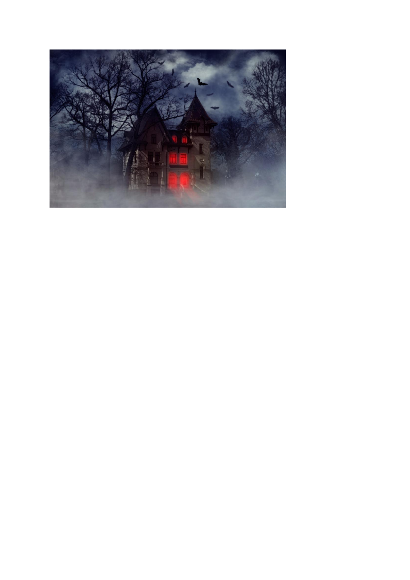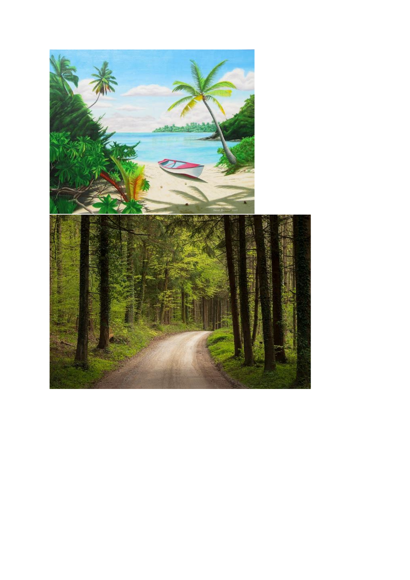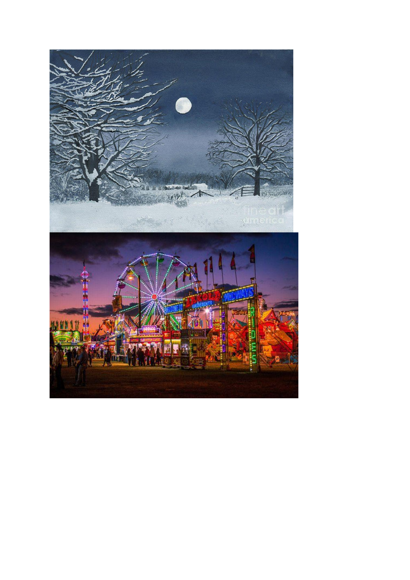